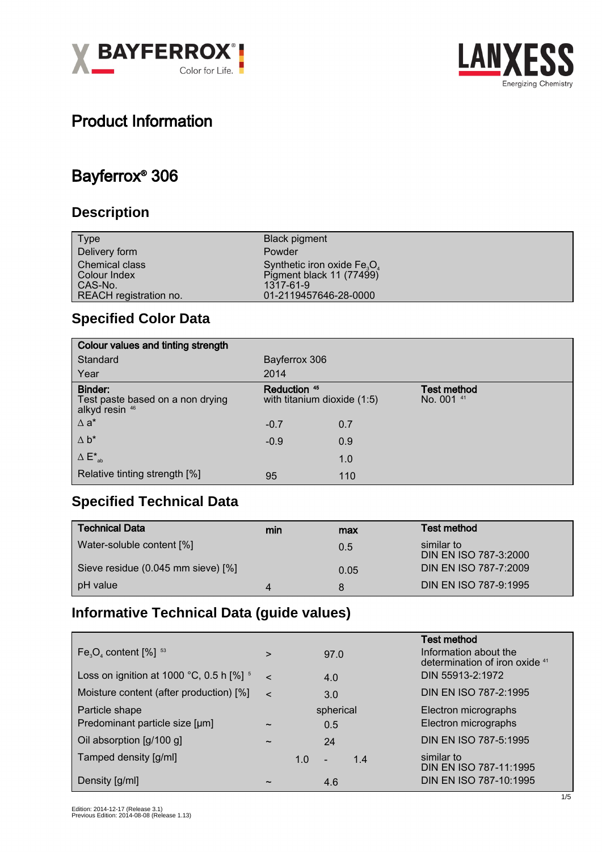



## Product Information

### Bayferrox® 306

### **Description**

| <b>Type</b>                                                         | <b>Black pigment</b>                                                                           |
|---------------------------------------------------------------------|------------------------------------------------------------------------------------------------|
| Delivery form                                                       | Powder                                                                                         |
| Chemical class<br>Colour Index<br>CAS-No.<br>REACH registration no. | Synthetic iron oxide $Fe3O4$<br>Pigment black 11 (77499)<br>1317-61-9<br>01-2119457646-28-0000 |

### **Specified Color Data**

| Colour values and tinting strength                            |                                             |     |                                  |  |
|---------------------------------------------------------------|---------------------------------------------|-----|----------------------------------|--|
| Standard                                                      | Bayferrox 306                               |     |                                  |  |
| Year                                                          | 2014                                        |     |                                  |  |
| Binder:<br>Test paste based on a non drying<br>alkyd resin 46 | Reduction 45<br>with titanium dioxide (1:5) |     | <b>Test method</b><br>No. 001 41 |  |
| $\Delta$ a <sup>*</sup>                                       | $-0.7$                                      | 0.7 |                                  |  |
| $\Delta b^*$                                                  | $-0.9$                                      | 0.9 |                                  |  |
| $\Delta E^*_{ab}$                                             |                                             | 1.0 |                                  |  |
| Relative tinting strength [%]                                 | 95                                          | 110 |                                  |  |

### **Specified Technical Data**

| <b>Technical Data</b>              | min | max  | <b>Test method</b>                  |
|------------------------------------|-----|------|-------------------------------------|
| Water-soluble content [%]          |     | 0.5  | similar to<br>DIN EN ISO 787-3:2000 |
| Sieve residue (0.045 mm sieve) [%] |     | 0.05 | DIN EN ISO 787-7:2009               |
| pH value                           |     | 8    | DIN EN ISO 787-9:1995               |

#### **Informative Technical Data (guide values)**

| $Fe3O4$ content $[%]$ <sup>53</sup>                   | $\geq$                |     | 97.0                     |     | Test method<br>Information about the<br>determination of iron oxide 41 |  |
|-------------------------------------------------------|-----------------------|-----|--------------------------|-----|------------------------------------------------------------------------|--|
| Loss on ignition at 1000 °C, 0.5 h $[%]$ <sup>5</sup> | $\epsilon$            | 4.0 |                          |     | DIN 55913-2:1972                                                       |  |
| Moisture content (after production) [%]               | $\epsilon$            |     | 3.0                      |     | DIN EN ISO 787-2:1995                                                  |  |
| Particle shape                                        |                       |     | spherical                |     | Electron micrographs                                                   |  |
| Predominant particle size [µm]                        | $\tilde{\phantom{a}}$ |     | 0.5                      |     | Electron micrographs                                                   |  |
| Oil absorption [g/100 g]                              | $\tilde{\phantom{a}}$ |     | 24                       |     | DIN EN ISO 787-5:1995                                                  |  |
| Tamped density [g/ml]                                 |                       | 1.0 | $\overline{\phantom{a}}$ | 1.4 | similar to<br>DIN EN ISO 787-11:1995                                   |  |
| Density [g/ml]                                        | ~                     |     | 4.6                      |     | DIN EN ISO 787-10:1995                                                 |  |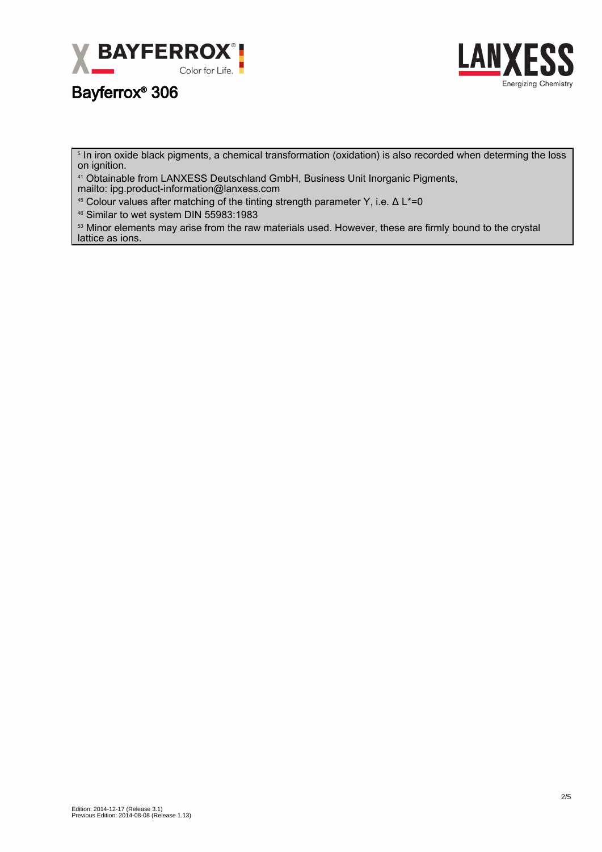



5 In iron oxide black pigments, a chemical transformation (oxidation) is also recorded when determing the loss on ignition.

<sup>41</sup> Obtainable from LANXESS Deutschland GmbH, Business Unit Inorganic Pigments, mailto: ipg.product-information@lanxess.com

<sup>45</sup> Colour values after matching of the tinting strength parameter Y, i.e.  $\Delta L^* = 0$ 

<sup>46</sup> Similar to wet system DIN 55983:1983

<sup>53</sup> Minor elements may arise from the raw materials used. However, these are firmly bound to the crystal lattice as ions.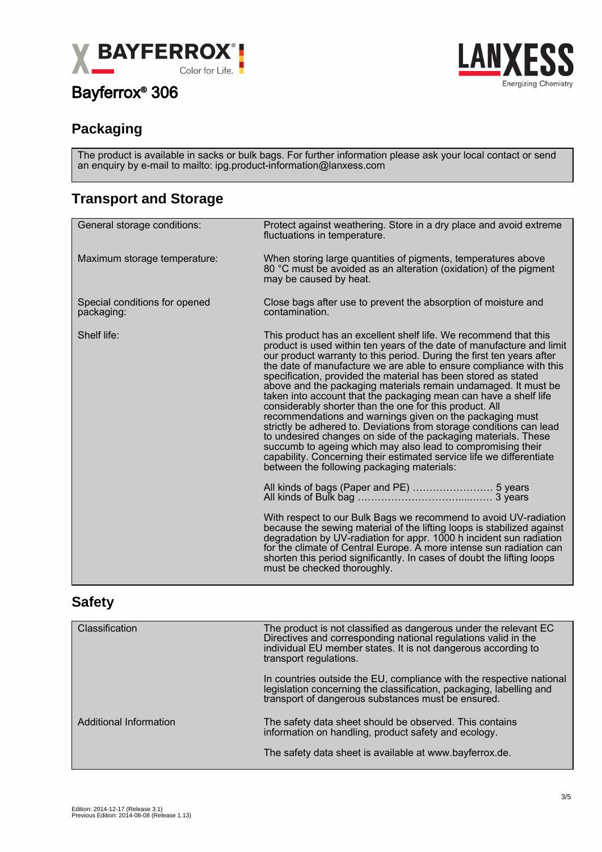



### **Packaging**

The product is available in sacks or bulk bags. For further information please ask your local contact or send an enquiry by e-mail to mailto: ipg.product-information@lanxess.com

### **Transport and Storage**

| General storage conditions:                 | Protect against weathering. Store in a dry place and avoid extreme<br>fluctuations in temperature.                                                                                                                                                                                                                                                                                                                                                                                                                                                                                                                                                                                                                                                                                                                                                                                                                                                    |
|---------------------------------------------|-------------------------------------------------------------------------------------------------------------------------------------------------------------------------------------------------------------------------------------------------------------------------------------------------------------------------------------------------------------------------------------------------------------------------------------------------------------------------------------------------------------------------------------------------------------------------------------------------------------------------------------------------------------------------------------------------------------------------------------------------------------------------------------------------------------------------------------------------------------------------------------------------------------------------------------------------------|
| Maximum storage temperature:                | When storing large quantities of pigments, temperatures above<br>80 °C must be avoided as an alteration (oxidation) of the pigment<br>may be caused by heat.                                                                                                                                                                                                                                                                                                                                                                                                                                                                                                                                                                                                                                                                                                                                                                                          |
| Special conditions for opened<br>packaging: | Close bags after use to prevent the absorption of moisture and<br>contamination.                                                                                                                                                                                                                                                                                                                                                                                                                                                                                                                                                                                                                                                                                                                                                                                                                                                                      |
| Shelf life:                                 | This product has an excellent shelf life. We recommend that this<br>product is used within ten years of the date of manufacture and limit<br>our product warranty to this period. During the first ten years after<br>the date of manufacture we are able to ensure compliance with this<br>specification, provided the material has been stored as stated<br>above and the packaging materials remain undamaged. It must be<br>taken into account that the packaging mean can have a shelf life<br>considerably shorter than the one for this product. All<br>recommendations and warnings given on the packaging must<br>strictly be adhered to. Deviations from storage conditions can lead<br>to undesired changes on side of the packaging materials. These<br>succumb to ageing which may also lead to compromising their<br>capability. Concerning their estimated service life we differentiate<br>between the following packaging materials: |
|                                             |                                                                                                                                                                                                                                                                                                                                                                                                                                                                                                                                                                                                                                                                                                                                                                                                                                                                                                                                                       |
|                                             | With respect to our Bulk Bags we recommend to avoid UV-radiation<br>because the sewing material of the lifting loops is stabilized against<br>degradation by UV-radiation for appr. 1000 h incident sun radiation<br>for the climate of Central Europe. A more intense sun radiation can<br>shorten this period significantly. In cases of doubt the lifting loops<br>must be checked thoroughly.                                                                                                                                                                                                                                                                                                                                                                                                                                                                                                                                                     |

#### **Safety**

| Classification                | The product is not classified as dangerous under the relevant EC<br>Directives and corresponding national regulations valid in the<br>individual EU member states. It is not dangerous according to<br>transport regulations. |
|-------------------------------|-------------------------------------------------------------------------------------------------------------------------------------------------------------------------------------------------------------------------------|
|                               | In countries outside the EU, compliance with the respective national<br>legislation concerning the classification, packaging, labelling and<br>transport of dangerous substances must be ensured.                             |
| <b>Additional Information</b> | The safety data sheet should be observed. This contains<br>information on handling, product safety and ecology.                                                                                                               |
|                               | The safety data sheet is available at www.bayferrox.de.                                                                                                                                                                       |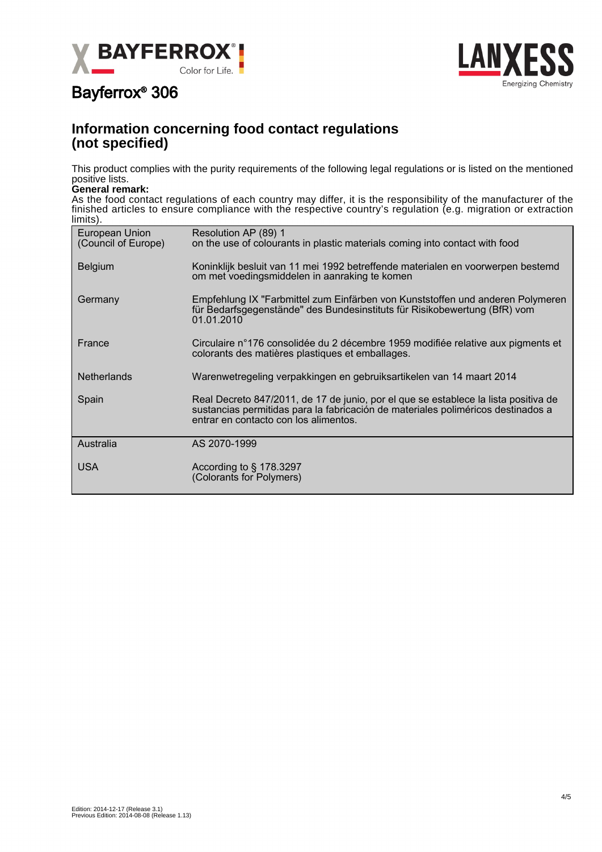



#### **Information concerning food contact regulations (not specified)**

This product complies with the purity requirements of the following legal regulations or is listed on the mentioned positive lists.

#### **General remark:**

As the food contact regulations of each country may differ, it is the responsibility of the manufacturer of the finished articles to ensure compliance with the respective country's regulation (e.g. migration or extraction limits).

| European Union<br>(Council of Europe) | Resolution AP (89) 1<br>on the use of colourants in plastic materials coming into contact with food                                                                                                              |
|---------------------------------------|------------------------------------------------------------------------------------------------------------------------------------------------------------------------------------------------------------------|
| <b>Belgium</b>                        | Koninklijk besluit van 11 mei 1992 betreffende materialen en voorwerpen bestemd<br>om met voedingsmiddelen in aanraking te komen                                                                                 |
| Germany                               | Empfehlung IX "Farbmittel zum Einfärben von Kunststoffen und anderen Polymeren<br>für Bedarfsgegenstände" des Bundesinstituts für Risikobewertung (BfR) vom<br>01.01.2010                                        |
| France                                | Circulaire n°176 consolidée du 2 décembre 1959 modifiée relative aux pigments et<br>colorants des matières plastiques et emballages.                                                                             |
| <b>Netherlands</b>                    | Warenwetregeling verpakkingen en gebruiksartikelen van 14 maart 2014                                                                                                                                             |
| Spain                                 | Real Decreto 847/2011, de 17 de junio, por el que se establece la lista positiva de<br>sustancias permitidas para la fabricación de materiales poliméricos destinados a<br>entrar en contacto con los alimentos. |
| Australia                             | AS 2070-1999                                                                                                                                                                                                     |
| <b>USA</b>                            | According to $\S$ 178.3297<br>(Colorants for Polymers)                                                                                                                                                           |